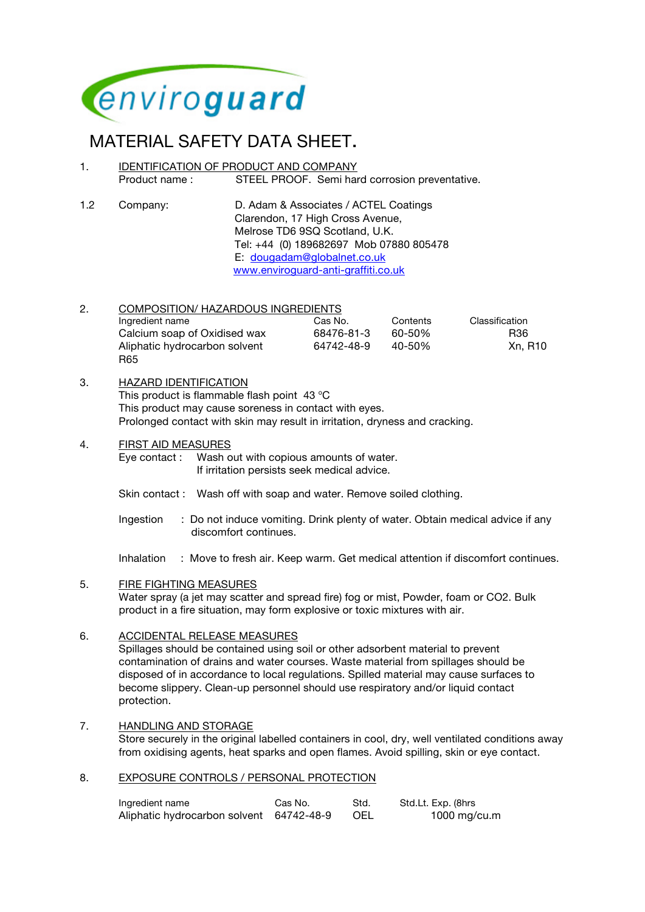

# MATERIAL SAFETY DATA SHEET.<br>1. IDENTIFICATION OF PRODUCT AND COMPANY

- Product name : STEEL PROOF. Semi hard corrosion preventative.
- 1.2 Company: D. Adam & Associates / ACTEL Coatings Clarendon, 17 High Cross Avenue, Melrose TD6 9SQ Scotland, U.K. Tel: +44 (0) 189682697 Mob 07880 805478 E: dougadam@globalnet.co.uk www.enviroguard-anti-graffiti.co.uk

#### 2. COMPOSITION/ HAZARDOUS INGREDIENTS Ingredient name Cas No. Contents Classification Calcium soap of Oxidised wax 68476-81-3 60-50% R36 Aliphatic hydrocarbon solvent 64742-48-9 40-50% Xn, R10 R65

## 3. HAZARD IDENTIFICATION

This product is flammable flash point  $43^{\circ}$ C This product may cause soreness in contact with eyes. Prolonged contact with skin may result in irritation, dryness and cracking.

## 4. FIRST AID MEASURES

Eye contact : Wash out with copious amounts of water. If irritation persists seek medical advice.

- Skin contact : Wash off with soap and water. Remove soiled clothing.
- Ingestion : Do not induce vomiting. Drink plenty of water. Obtain medical advice if any discomfort continues.

Inhalation : Move to fresh air. Keep warm. Get medical attention if discomfort continues.

## 5. FIRE FIGHTING MEASURES

Water spray (a jet may scatter and spread fire) fog or mist, Powder, foam or CO2. Bulk product in a fire situation, may form explosive or toxic mixtures with air.

#### 6. ACCIDENTAL RELEASE MEASURES

Spillages should be contained using soil or other adsorbent material to prevent contamination of drains and water courses. Waste material from spillages should be disposed of in accordance to local regulations. Spilled material may cause surfaces to become slippery. Clean-up personnel should use respiratory and/or liquid contact protection.

## 7. HANDLING AND STORAGE

Store securely in the original labelled containers in cool, dry, well ventilated conditions away from oxidising agents, heat sparks and open flames. Avoid spilling, skin or eye contact.

#### 8. EXPOSURE CONTROLS / PERSONAL PROTECTION

| Ingredient name                          | Cas No. | Std. | Std.Lt. Exp. (8hrs |
|------------------------------------------|---------|------|--------------------|
| Aliphatic hydrocarbon solvent 64742-48-9 |         | -OEL | 1000 mg/cu.m       |